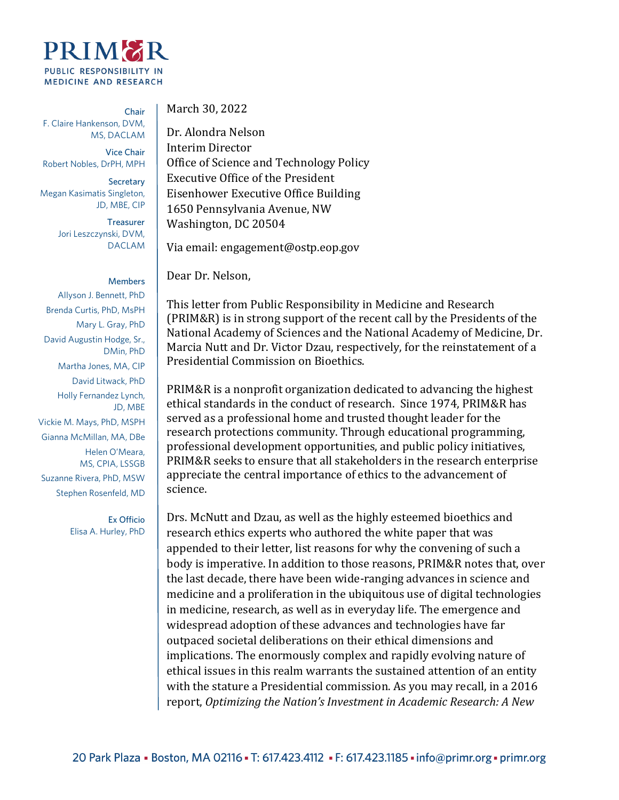

Chair F. Claire Hankenson, DVM, MS, DACLAM

Vice Chair Robert Nobles, DrPH, MPH

**Secretary** Megan Kasimatis Singleton, JD, MBE, CIP

> **Treasurer** Jori Leszczynski, DVM, DACLAM

## **Members**

Allyson J. Bennett, PhD Brenda Curtis, PhD, MsPH Mary L. Gray, PhD David Augustin Hodge, Sr., DMin, PhD Martha Jones, MA, CIP David Litwack, PhD Holly Fernandez Lynch, JD, MBE Vickie M. Mays, PhD, MSPH Gianna McMillan, MA, DBe Helen O'Meara, MS, CPIA, LSSGB Suzanne Rivera, PhD, MSW Stephen Rosenfeld, MD

> Ex Officio Elisa A. Hurley, PhD

March 30, 2022

Dr. Alondra Nelson Interim Director Office of Science and Technology Policy Executive Office of the President Eisenhower Executive Office Building 1650 Pennsylvania Avenue, NW Washington, DC 20504

Via email: engagement@ostp.eop.gov

Dear Dr. Nelson,

This letter from Public Responsibility in Medicine and Research (PRIM&R) is in strong support of the recent call by the Presidents of the National Academy of Sciences and the National Academy of Medicine, Dr. Marcia Nutt and Dr. Victor Dzau, respectively, for the reinstatement of a Presidential Commission on Bioethics.

PRIM&R is a nonprofit organization dedicated to advancing the highest ethical standards in the conduct of research. Since 1974, PRIM&R has served as a professional home and trusted thought leader for the research protections community. Through educational programming, professional development opportunities, and public policy initiatives, PRIM&R seeks to ensure that all stakeholders in the research enterprise appreciate the central importance of ethics to the advancement of science.

Drs. McNutt and Dzau, as well as the highly esteemed bioethics and research ethics experts who authored the white paper that was appended to their letter, list reasons for why the convening of such a body is imperative. In addition to those reasons, PRIM&R notes that, over the last decade, there have been wide-ranging advances in science and medicine and a proliferation in the ubiquitous use of digital technologies in medicine, research, as well as in everyday life. The emergence and widespread adoption of these advances and technologies have far outpaced societal deliberations on their ethical dimensions and implications. The enormously complex and rapidly evolving nature of ethical issues in this realm warrants the sustained attention of an entity with the stature a Presidential commission. As you may recall, in a 2016 report, *Optimizing the Nation's Investment in Academic Research: A New*